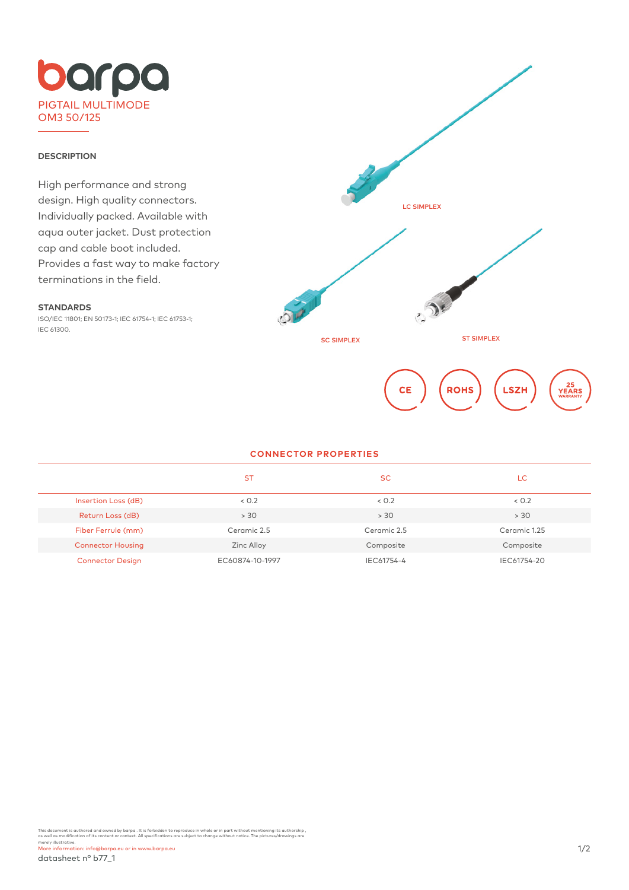

### **DESCRIPTION**

High performance and strong design. High quality connectors. Individually packed. Available with aqua outer jacket. Dust protection cap and cable boot included. Provides a fast way to make factory terminations in the field.



# **STANDARDS**

ISO/IEC 11801; EN 50173-1; IEC 61754-1; IEC 61753-1; IEC 61300.

#### **CONNECTOR PROPERTIES**

|                          | <b>ST</b>       | <b>SC</b>   | LC           |
|--------------------------|-----------------|-------------|--------------|
| Insertion Loss (dB)      | < 0.2           | < 0.2       | 0.2          |
| Return Loss (dB)         | > 30            | > 30        | > 30         |
| Fiber Ferrule (mm)       | Ceramic 2.5     | Ceramic 2.5 | Ceramic 1.25 |
| <b>Connector Housing</b> | Zinc Alloy      | Composite   | Composite    |
| <b>Connector Design</b>  | EC60874-10-1997 | IEC61754-4  | IEC61754-20  |

This document is authored and owned by barpa . It is forbidden to reproduce in whole or in part without mentioning its authorship ,<br>as well as modification of its content or context. All specifications are subject to chang